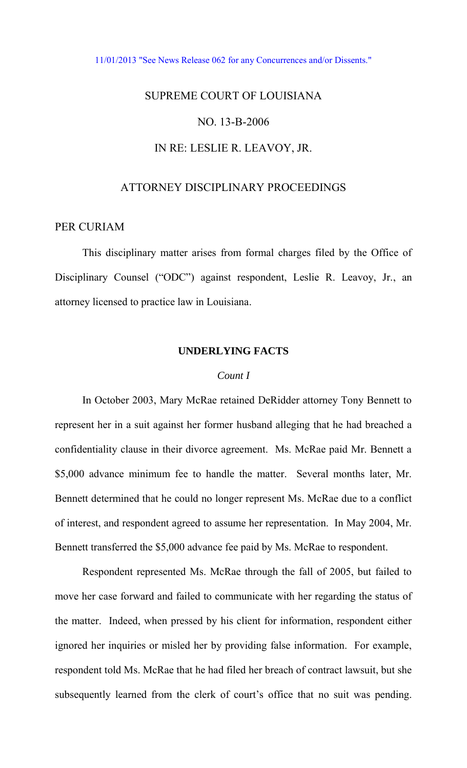#### [11/01/2013 "See News Release 062 for any Concurrences and/or Dissents."](http://www.lasc.org/Actions?p=2013-062)

# SUPREME COURT OF LOUISIANA NO. 13-B-2006

## IN RE: LESLIE R. LEAVOY, JR.

## ATTORNEY DISCIPLINARY PROCEEDINGS

## PER CURIAM

 This disciplinary matter arises from formal charges filed by the Office of Disciplinary Counsel ("ODC") against respondent, Leslie R. Leavoy, Jr., an attorney licensed to practice law in Louisiana.

## **UNDERLYING FACTS**

### *Count I*

 In October 2003, Mary McRae retained DeRidder attorney Tony Bennett to represent her in a suit against her former husband alleging that he had breached a confidentiality clause in their divorce agreement. Ms. McRae paid Mr. Bennett a \$5,000 advance minimum fee to handle the matter. Several months later, Mr. Bennett determined that he could no longer represent Ms. McRae due to a conflict of interest, and respondent agreed to assume her representation. In May 2004, Mr. Bennett transferred the \$5,000 advance fee paid by Ms. McRae to respondent.

Respondent represented Ms. McRae through the fall of 2005, but failed to move her case forward and failed to communicate with her regarding the status of the matter. Indeed, when pressed by his client for information, respondent either ignored her inquiries or misled her by providing false information. For example, respondent told Ms. McRae that he had filed her breach of contract lawsuit, but she subsequently learned from the clerk of court's office that no suit was pending.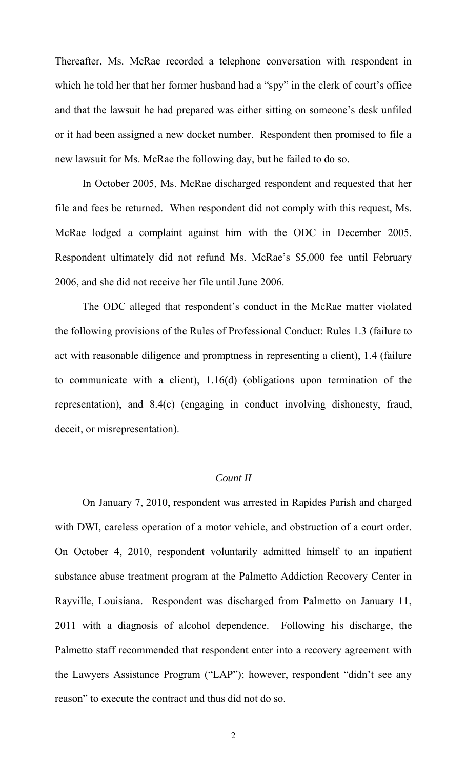Thereafter, Ms. McRae recorded a telephone conversation with respondent in which he told her that her former husband had a "spy" in the clerk of court's office and that the lawsuit he had prepared was either sitting on someone's desk unfiled or it had been assigned a new docket number. Respondent then promised to file a new lawsuit for Ms. McRae the following day, but he failed to do so.

In October 2005, Ms. McRae discharged respondent and requested that her file and fees be returned. When respondent did not comply with this request, Ms. McRae lodged a complaint against him with the ODC in December 2005. Respondent ultimately did not refund Ms. McRae's \$5,000 fee until February 2006, and she did not receive her file until June 2006.

 The ODC alleged that respondent's conduct in the McRae matter violated the following provisions of the Rules of Professional Conduct: Rules 1.3 (failure to act with reasonable diligence and promptness in representing a client), 1.4 (failure to communicate with a client), 1.16(d) (obligations upon termination of the representation), and 8.4(c) (engaging in conduct involving dishonesty, fraud, deceit, or misrepresentation).

## *Count II*

 On January 7, 2010, respondent was arrested in Rapides Parish and charged with DWI, careless operation of a motor vehicle, and obstruction of a court order. On October 4, 2010, respondent voluntarily admitted himself to an inpatient substance abuse treatment program at the Palmetto Addiction Recovery Center in Rayville, Louisiana. Respondent was discharged from Palmetto on January 11, 2011 with a diagnosis of alcohol dependence. Following his discharge, the Palmetto staff recommended that respondent enter into a recovery agreement with the Lawyers Assistance Program ("LAP"); however, respondent "didn't see any reason" to execute the contract and thus did not do so.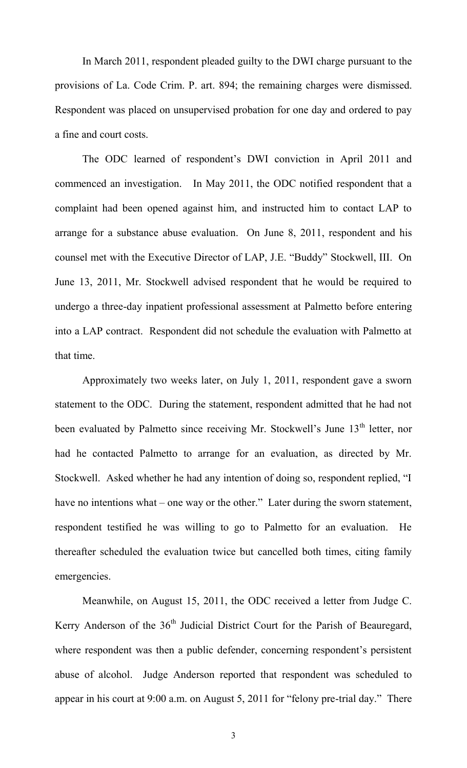In March 2011, respondent pleaded guilty to the DWI charge pursuant to the provisions of La. Code Crim. P. art. 894; the remaining charges were dismissed. Respondent was placed on unsupervised probation for one day and ordered to pay a fine and court costs.

The ODC learned of respondent's DWI conviction in April 2011 and commenced an investigation. In May 2011, the ODC notified respondent that a complaint had been opened against him, and instructed him to contact LAP to arrange for a substance abuse evaluation. On June 8, 2011, respondent and his counsel met with the Executive Director of LAP, J.E. "Buddy" Stockwell, III. On June 13, 2011, Mr. Stockwell advised respondent that he would be required to undergo a three-day inpatient professional assessment at Palmetto before entering into a LAP contract. Respondent did not schedule the evaluation with Palmetto at that time.

Approximately two weeks later, on July 1, 2011, respondent gave a sworn statement to the ODC. During the statement, respondent admitted that he had not been evaluated by Palmetto since receiving Mr. Stockwell's June 13<sup>th</sup> letter, nor had he contacted Palmetto to arrange for an evaluation, as directed by Mr. Stockwell. Asked whether he had any intention of doing so, respondent replied, "I have no intentions what – one way or the other." Later during the sworn statement, respondent testified he was willing to go to Palmetto for an evaluation. He thereafter scheduled the evaluation twice but cancelled both times, citing family emergencies.

Meanwhile, on August 15, 2011, the ODC received a letter from Judge C. Kerry Anderson of the 36<sup>th</sup> Judicial District Court for the Parish of Beauregard, where respondent was then a public defender, concerning respondent's persistent abuse of alcohol. Judge Anderson reported that respondent was scheduled to appear in his court at 9:00 a.m. on August 5, 2011 for "felony pre-trial day." There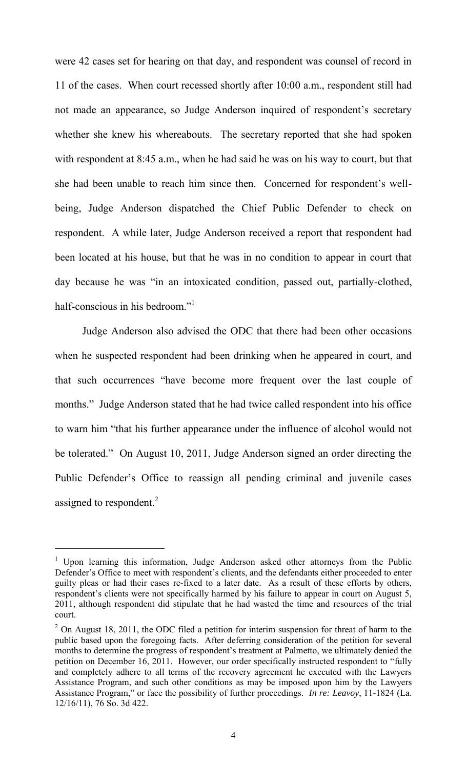were 42 cases set for hearing on that day, and respondent was counsel of record in 11 of the cases. When court recessed shortly after 10:00 a.m., respondent still had not made an appearance, so Judge Anderson inquired of respondent's secretary whether she knew his whereabouts. The secretary reported that she had spoken with respondent at 8:45 a.m., when he had said he was on his way to court, but that she had been unable to reach him since then. Concerned for respondent's wellbeing, Judge Anderson dispatched the Chief Public Defender to check on respondent. A while later, Judge Anderson received a report that respondent had been located at his house, but that he was in no condition to appear in court that day because he was "in an intoxicated condition, passed out, partially-clothed, half-conscious in his bedroom."<sup>1</sup>

Judge Anderson also advised the ODC that there had been other occasions when he suspected respondent had been drinking when he appeared in court, and that such occurrences "have become more frequent over the last couple of months." Judge Anderson stated that he had twice called respondent into his office to warn him "that his further appearance under the influence of alcohol would not be tolerated." On August 10, 2011, Judge Anderson signed an order directing the Public Defender's Office to reassign all pending criminal and juvenile cases assigned to respondent. $2$ 

 $\overline{a}$ 

<sup>&</sup>lt;sup>1</sup> Upon learning this information, Judge Anderson asked other attorneys from the Public Defender's Office to meet with respondent's clients, and the defendants either proceeded to enter guilty pleas or had their cases re-fixed to a later date. As a result of these efforts by others, respondent's clients were not specifically harmed by his failure to appear in court on August 5, 2011, although respondent did stipulate that he had wasted the time and resources of the trial court.

 $2$  On August 18, 2011, the ODC filed a petition for interim suspension for threat of harm to the public based upon the foregoing facts. After deferring consideration of the petition for several months to determine the progress of respondent's treatment at Palmetto, we ultimately denied the petition on December 16, 2011. However, our order specifically instructed respondent to "fully and completely adhere to all terms of the recovery agreement he executed with the Lawyers Assistance Program, and such other conditions as may be imposed upon him by the Lawyers Assistance Program," or face the possibility of further proceedings. *In re: Leavoy*, 11-1824 (La. 12/16/11), 76 So. 3d 422.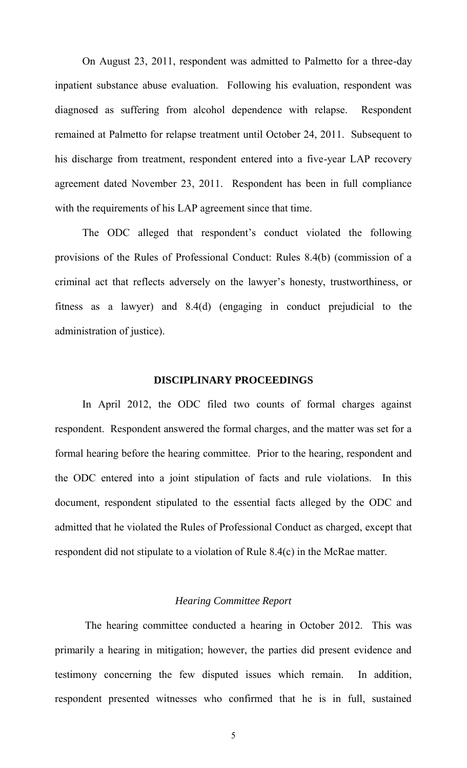On August 23, 2011, respondent was admitted to Palmetto for a three-day inpatient substance abuse evaluation. Following his evaluation, respondent was diagnosed as suffering from alcohol dependence with relapse. Respondent remained at Palmetto for relapse treatment until October 24, 2011. Subsequent to his discharge from treatment, respondent entered into a five-year LAP recovery agreement dated November 23, 2011. Respondent has been in full compliance with the requirements of his LAP agreement since that time.

The ODC alleged that respondent's conduct violated the following provisions of the Rules of Professional Conduct: Rules 8.4(b) (commission of a criminal act that reflects adversely on the lawyer's honesty, trustworthiness, or fitness as a lawyer) and 8.4(d) (engaging in conduct prejudicial to the administration of justice).

### **DISCIPLINARY PROCEEDINGS**

 In April 2012, the ODC filed two counts of formal charges against respondent. Respondent answered the formal charges, and the matter was set for a formal hearing before the hearing committee. Prior to the hearing, respondent and the ODC entered into a joint stipulation of facts and rule violations. In this document, respondent stipulated to the essential facts alleged by the ODC and admitted that he violated the Rules of Professional Conduct as charged, except that respondent did not stipulate to a violation of Rule 8.4(c) in the McRae matter.

## *Hearing Committee Report*

 The hearing committee conducted a hearing in October 2012. This was primarily a hearing in mitigation; however, the parties did present evidence and testimony concerning the few disputed issues which remain. In addition, respondent presented witnesses who confirmed that he is in full, sustained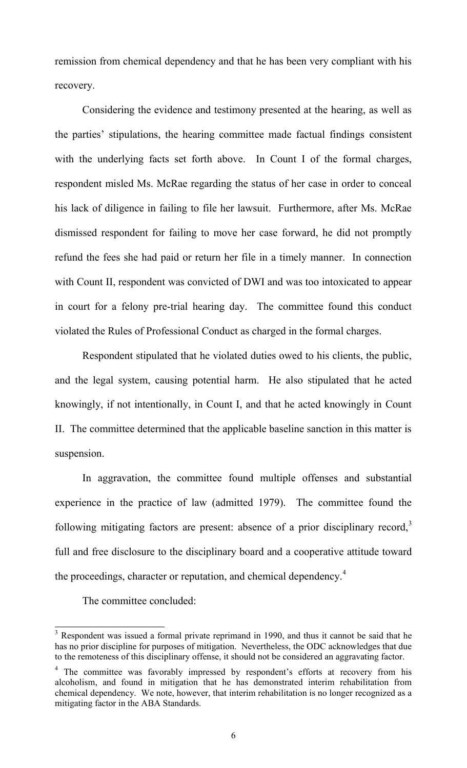remission from chemical dependency and that he has been very compliant with his recovery.

Considering the evidence and testimony presented at the hearing, as well as the parties' stipulations, the hearing committee made factual findings consistent with the underlying facts set forth above. In Count I of the formal charges, respondent misled Ms. McRae regarding the status of her case in order to conceal his lack of diligence in failing to file her lawsuit. Furthermore, after Ms. McRae dismissed respondent for failing to move her case forward, he did not promptly refund the fees she had paid or return her file in a timely manner. In connection with Count II, respondent was convicted of DWI and was too intoxicated to appear in court for a felony pre-trial hearing day. The committee found this conduct violated the Rules of Professional Conduct as charged in the formal charges.

Respondent stipulated that he violated duties owed to his clients, the public, and the legal system, causing potential harm. He also stipulated that he acted knowingly, if not intentionally, in Count I, and that he acted knowingly in Count II. The committee determined that the applicable baseline sanction in this matter is suspension.

 In aggravation, the committee found multiple offenses and substantial experience in the practice of law (admitted 1979). The committee found the following mitigating factors are present: absence of a prior disciplinary record, $\frac{3}{2}$ full and free disclosure to the disciplinary board and a cooperative attitude toward the proceedings, character or reputation, and chemical dependency.<sup>4</sup>

The committee concluded:

<sup>&</sup>lt;sup>3</sup> Respondent was issued a formal private reprimand in 1990, and thus it cannot be said that he has no prior discipline for purposes of mitigation. Nevertheless, the ODC acknowledges that due to the remoteness of this disciplinary offense, it should not be considered an aggravating factor.

<sup>&</sup>lt;sup>4</sup> The committee was favorably impressed by respondent's efforts at recovery from his alcoholism, and found in mitigation that he has demonstrated interim rehabilitation from chemical dependency. We note, however, that interim rehabilitation is no longer recognized as a mitigating factor in the ABA Standards.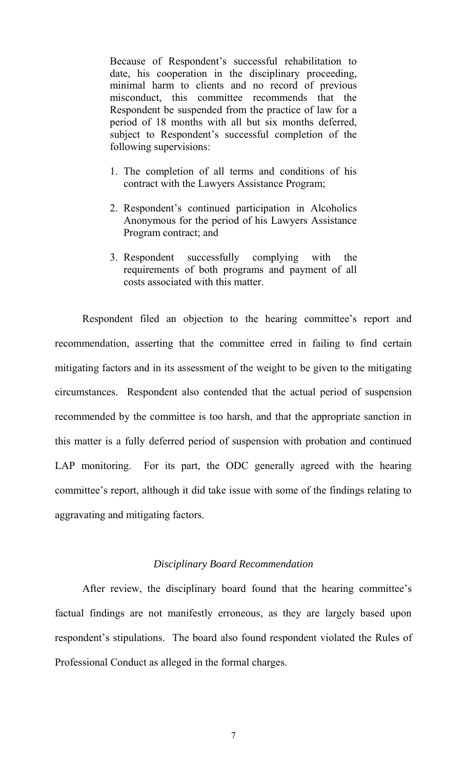Because of Respondent's successful rehabilitation to date, his cooperation in the disciplinary proceeding, minimal harm to clients and no record of previous misconduct, this committee recommends that the Respondent be suspended from the practice of law for a period of 18 months with all but six months deferred, subject to Respondent's successful completion of the following supervisions:

- 1. The completion of all terms and conditions of his contract with the Lawyers Assistance Program;
- 2. Respondent's continued participation in Alcoholics Anonymous for the period of his Lawyers Assistance Program contract; and
- 3. Respondent successfully complying with the requirements of both programs and payment of all costs associated with this matter.

Respondent filed an objection to the hearing committee's report and recommendation, asserting that the committee erred in failing to find certain mitigating factors and in its assessment of the weight to be given to the mitigating circumstances. Respondent also contended that the actual period of suspension recommended by the committee is too harsh, and that the appropriate sanction in this matter is a fully deferred period of suspension with probation and continued LAP monitoring. For its part, the ODC generally agreed with the hearing committee's report, although it did take issue with some of the findings relating to aggravating and mitigating factors.

#### *Disciplinary Board Recommendation*

 After review, the disciplinary board found that the hearing committee's factual findings are not manifestly erroneous, as they are largely based upon respondent's stipulations. The board also found respondent violated the Rules of Professional Conduct as alleged in the formal charges.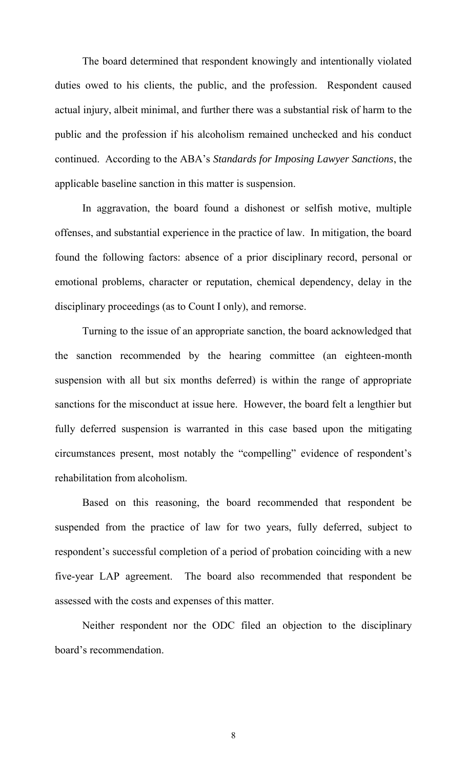The board determined that respondent knowingly and intentionally violated duties owed to his clients, the public, and the profession. Respondent caused actual injury, albeit minimal, and further there was a substantial risk of harm to the public and the profession if his alcoholism remained unchecked and his conduct continued. According to the ABA's *Standards for Imposing Lawyer Sanctions*, the applicable baseline sanction in this matter is suspension.

In aggravation, the board found a dishonest or selfish motive, multiple offenses, and substantial experience in the practice of law. In mitigation, the board found the following factors: absence of a prior disciplinary record, personal or emotional problems, character or reputation, chemical dependency, delay in the disciplinary proceedings (as to Count I only), and remorse.

 Turning to the issue of an appropriate sanction, the board acknowledged that the sanction recommended by the hearing committee (an eighteen-month suspension with all but six months deferred) is within the range of appropriate sanctions for the misconduct at issue here. However, the board felt a lengthier but fully deferred suspension is warranted in this case based upon the mitigating circumstances present, most notably the "compelling" evidence of respondent's rehabilitation from alcoholism.

Based on this reasoning, the board recommended that respondent be suspended from the practice of law for two years, fully deferred, subject to respondent's successful completion of a period of probation coinciding with a new five-year LAP agreement. The board also recommended that respondent be assessed with the costs and expenses of this matter.

 Neither respondent nor the ODC filed an objection to the disciplinary board's recommendation.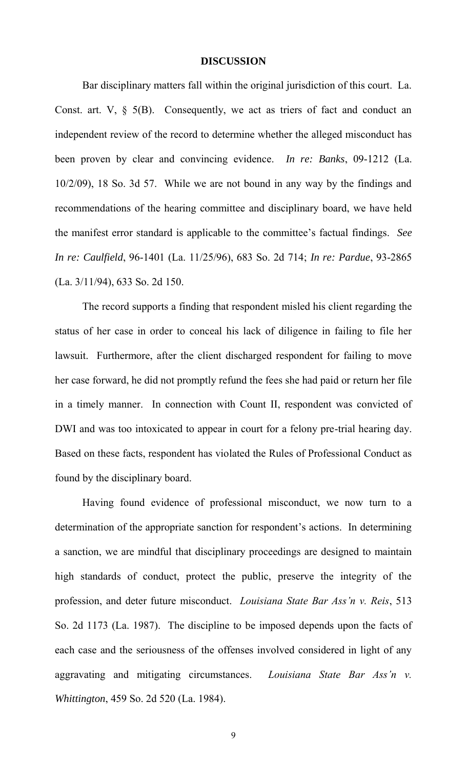#### **DISCUSSION**

 Bar disciplinary matters fall within the original jurisdiction of this court. La. Const. art.  $V$ ,  $\S$  5(B). Consequently, we act as triers of fact and conduct an independent review of the record to determine whether the alleged misconduct has been proven by clear and convincing evidence. *In re: Banks*, 09-1212 (La. 10/2/09), 18 So. 3d 57. While we are not bound in any way by the findings and recommendations of the hearing committee and disciplinary board, we have held the manifest error standard is applicable to the committee's factual findings. *See In re: Caulfield*, 96-1401 (La. 11/25/96), 683 So. 2d 714; *In re: Pardue*, 93-2865 (La. 3/11/94), 633 So. 2d 150.

 The record supports a finding that respondent misled his client regarding the status of her case in order to conceal his lack of diligence in failing to file her lawsuit. Furthermore, after the client discharged respondent for failing to move her case forward, he did not promptly refund the fees she had paid or return her file in a timely manner. In connection with Count II, respondent was convicted of DWI and was too intoxicated to appear in court for a felony pre-trial hearing day. Based on these facts, respondent has violated the Rules of Professional Conduct as found by the disciplinary board.

 Having found evidence of professional misconduct, we now turn to a determination of the appropriate sanction for respondent's actions. In determining a sanction, we are mindful that disciplinary proceedings are designed to maintain high standards of conduct, protect the public, preserve the integrity of the profession, and deter future misconduct. *Louisiana State Bar Ass'n v. Reis*, 513 So. 2d 1173 (La. 1987). The discipline to be imposed depends upon the facts of each case and the seriousness of the offenses involved considered in light of any aggravating and mitigating circumstances. *Louisiana State Bar Ass'n v. Whittington*, 459 So. 2d 520 (La. 1984).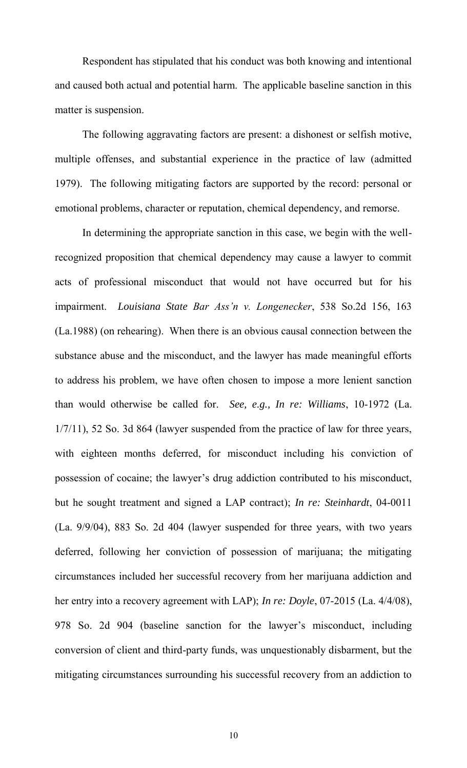Respondent has stipulated that his conduct was both knowing and intentional and caused both actual and potential harm. The applicable baseline sanction in this matter is suspension.

The following aggravating factors are present: a dishonest or selfish motive, multiple offenses, and substantial experience in the practice of law (admitted 1979). The following mitigating factors are supported by the record: personal or emotional problems, character or reputation, chemical dependency, and remorse.

In determining the appropriate sanction in this case, we begin with the wellrecognized proposition that chemical dependency may cause a lawyer to commit acts of professional misconduct that would not have occurred but for his impairment. *Louisiana State Bar Ass'n v. Longenecker*, 538 So.2d 156, 163 (La.1988) (on rehearing). When there is an obvious causal connection between the substance abuse and the misconduct, and the lawyer has made meaningful efforts to address his problem, we have often chosen to impose a more lenient sanction than would otherwise be called for. *See, e.g., In re: Williams*, 10-1972 (La. 1/7/11), 52 So. 3d 864 (lawyer suspended from the practice of law for three years, with eighteen months deferred, for misconduct including his conviction of possession of cocaine; the lawyer's drug addiction contributed to his misconduct, but he sought treatment and signed a LAP contract); *In re: Steinhardt*, 04-0011 (La. 9/9/04), 883 So. 2d 404 (lawyer suspended for three years, with two years deferred, following her conviction of possession of marijuana; the mitigating circumstances included her successful recovery from her marijuana addiction and her entry into a recovery agreement with LAP); *In re: Doyle*, 07-2015 (La. 4/4/08), 978 So. 2d 904 (baseline sanction for the lawyer's misconduct, including conversion of client and third-party funds, was unquestionably disbarment, but the mitigating circumstances surrounding his successful recovery from an addiction to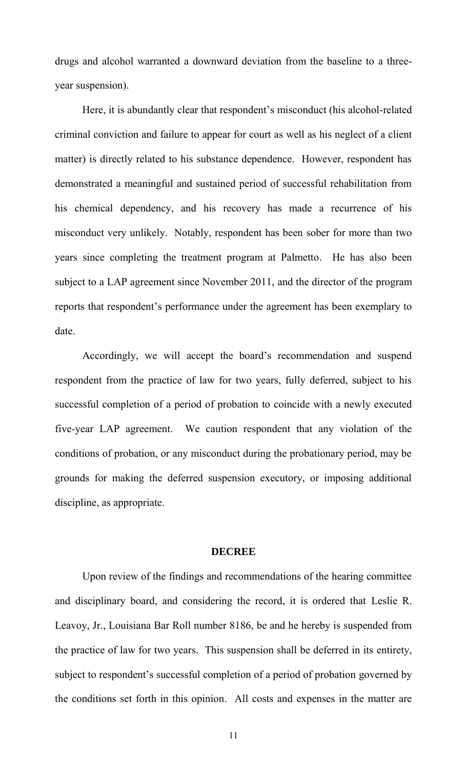drugs and alcohol warranted a downward deviation from the baseline to a threeyear suspension).

Here, it is abundantly clear that respondent's misconduct (his alcohol-related criminal conviction and failure to appear for court as well as his neglect of a client matter) is directly related to his substance dependence. However, respondent has demonstrated a meaningful and sustained period of successful rehabilitation from his chemical dependency, and his recovery has made a recurrence of his misconduct very unlikely. Notably, respondent has been sober for more than two years since completing the treatment program at Palmetto. He has also been subject to a LAP agreement since November 2011, and the director of the program reports that respondent's performance under the agreement has been exemplary to date.

Accordingly, we will accept the board's recommendation and suspend respondent from the practice of law for two years, fully deferred, subject to his successful completion of a period of probation to coincide with a newly executed five-year LAP agreement. We caution respondent that any violation of the conditions of probation, or any misconduct during the probationary period, may be grounds for making the deferred suspension executory, or imposing additional discipline, as appropriate.

#### **DECREE**

 Upon review of the findings and recommendations of the hearing committee and disciplinary board, and considering the record, it is ordered that Leslie R. Leavoy, Jr., Louisiana Bar Roll number 8186, be and he hereby is suspended from the practice of law for two years. This suspension shall be deferred in its entirety, subject to respondent's successful completion of a period of probation governed by the conditions set forth in this opinion. All costs and expenses in the matter are